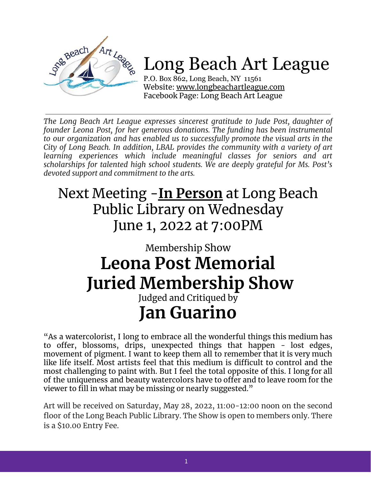

# Long Beach Art League

P.O. Box 862, Long Beach, NY 11561 Website: [www.longbeachartleague.com](http://www.longbeachartleague.com) Facebook Page: Long Beach Art League

*The Long Beach Art League expresses sincerest gratitude to Jude Post, daughter of founder Leona Post, for her generous donations. The funding has been instrumental to our organization and has enabled us to successfully promote the visual arts in the City of Long Beach. In addition, LBAL provides the community with a variety of art learning experiences which include meaningful classes for seniors and art scholarships for talented high school students. We are deeply grateful for Ms. Post's devoted support and commitment to the arts.*

## Next Meeting -**In Person** at Long Beach Public Library on Wednesday June 1, 2022 at 7:00PM

## Membership Show **Leona Post Memorial Juried Membership Show**

### Judged and Critiqued by **Jan Guarino**

"As a watercolorist, I long to embrace all the wonderful things this medium has to offer, blossoms, drips, unexpected things that happen - lost edges, movement of pigment. I want to keep them all to remember that it is very much like life itself. Most artists feel that this medium is difficult to control and the most challenging to paint with. But I feel the total opposite of this. I long for all of the uniqueness and beauty watercolors have to offer and to leave room for the viewer to fill in what may be missing or nearly suggested."

Art will be received on Saturday, May 28, 2022, 11:00-12:00 noon on the second floor of the Long Beach Public Library. The Show is open to members only. There is a \$10.00 Entry Fee.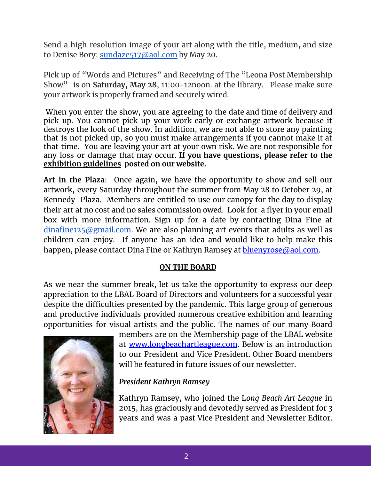Send a high resolution image of your art along with the title, medium, and size to Denise Bory: [sundaze517@aol.com](mailto:sundaze517@aol.com) by May 20.

Pick up of "Words and Pictures" and Receiving of The "Leona Post Membership Show" is on **Saturday, May 28**, 11:00-12noon. at the library. Please make sure your artwork is properly framed and securely wired.

When you enter the show, you are agreeing to the date and time of delivery and pick up. You cannot pick up your work early or exchange artwork because it destroys the look of the show. In addition, we are not able to store any painting that is not picked up, so you must make arrangements if you cannot make it at that time. You are leaving your art at your own risk. We are not responsible for any loss or damage that may occur. **If you have questions, please refer to the exhibition guidelines posted on our website.**

**Art in the Plaza**: Once again, we have the opportunity to show and sell our artwork, every Saturday throughout the summer from May 28 to October 29, at Kennedy Plaza. Members are entitled to use our canopy for the day to display their art at no cost and no sales commission owed. Look for a flyer in your email box with more information. Sign up for a date by contacting Dina Fine at  $dinafine125@gmail.com$ . We are also planning art events that adults as well as children can enjoy. If anyone has an idea and would like to help make this happen, please contact Dina Fine or Kathryn Ramsey at **bluenyrose@aol.com**.

#### **ON THE BOARD**

As we near the summer break, let us take the opportunity to express our deep appreciation to the LBAL Board of Directors and volunteers for a successful year despite the difficulties presented by the pandemic. This large group of generous and productive individuals provided numerous creative exhibition and learning opportunities for visual artists and the public. The names of our many Board



members are on the Membership page of the LBAL website at www.longbeachartleague.com. Below is an introduction to our President and Vice President. Other Board members will be featured in future issues of our newsletter.

#### *President Kathryn Ramsey*

Kathryn Ramsey, who joined the L*ong Beach Art League* in 2015, has graciously and devotedly served as President for 3 years and was a past Vice President and Newsletter Editor.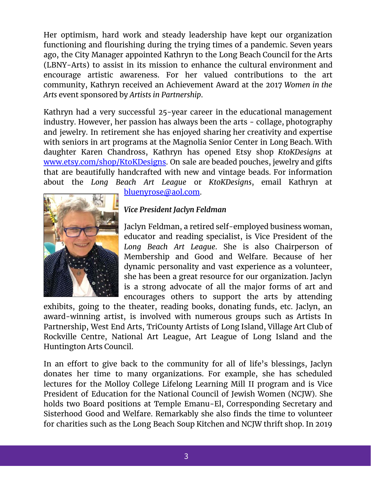Her optimism, hard work and steady leadership have kept our organization functioning and flourishing during the trying times of a pandemic. Seven years ago, the City Manager appointed Kathryn to the Long Beach Council for the Arts (LBNY-Arts) to assist in its mission to enhance the cultural environment and encourage artistic awareness. For her valued contributions to the art community, Kathryn received an Achievement Award at the 2017 *Women in the Arts* event sponsored by *Artists in Partnership*.

Kathryn had a very successful 25-year career in the educational management industry. However, her passion has always been the arts - collage, photography and jewelry. In retirement she has enjoyed sharing her creativity and expertise with seniors in art programs at the Magnolia Senior Center in Long Beach. With daughter Karen Chandross, Kathryn has opened Etsy shop *KtoKDesigns* at www.etsy.com/shop/KtoKDesigns. On sale are beaded pouches, jewelry and gifts that are beautifully handcrafted with new and vintage beads. For information about the *Long Beach Art League* or *KtoKDesigns*, email Kathryn at



bluenyrose@aol.com.

#### *Vice President Jaclyn Feldman*

Jaclyn Feldman, a retired self-employed business woman, educator and reading specialist, is Vice President of the *Long Beach Art League*. She is also Chairperson of Membership and Good and Welfare. Because of her dynamic personality and vast experience as a volunteer, she has been a great resource for our organization. Jaclyn is a strong advocate of all the major forms of art and encourages others to support the arts by attending

exhibits, going to the theater, reading books, donating funds, etc. Jaclyn, an award-winning artist, is involved with numerous groups such as Artists In Partnership, West End Arts, TriCounty Artists of Long Island, Village Art Club of Rockville Centre, National Art League, Art League of Long Island and the Huntington Arts Council.

In an effort to give back to the community for all of life's blessings, Jaclyn donates her time to many organizations. For example, she has scheduled lectures for the Molloy College Lifelong Learning Mill II program and is Vice President of Education for the National Council of Jewish Women (NCJW). She holds two Board positions at Temple Emanu-El, Corresponding Secretary and Sisterhood Good and Welfare. Remarkably she also finds the time to volunteer for charities such as the Long Beach Soup Kitchen and NCJW thrift shop. In 2019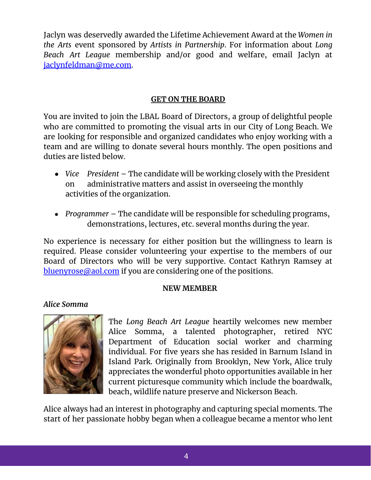Jaclyn was deservedly awarded the Lifetime Achievement Award at the *Women in the Arts* event sponsored by *Artists in Partnership*. For information about *Long Beach Art League* membership and/or good and welfare, email Jaclyn at jaclynfeldman@me.com.

#### **GET ON THE BOARD**

You are invited to join the LBAL Board of Directors, a group of delightful people who are committed to promoting the visual arts in our City of Long Beach. We are looking for responsible and organized candidates who enjoy working with a team and are willing to donate several hours monthly. The open positions and duties are listed below.

- *Vice President* The candidate will be working closely with the President on administrative matters and assist in overseeing the monthly activities of the organization.
- *Programmer* The candidate will be responsible for scheduling programs, demonstrations, lectures, etc. several months during the year.

No experience is necessary for either position but the willingness to learn is required. Please consider volunteering your expertise to the members of our Board of Directors who will be very supportive. Contact Kathryn Ramsey at bluenyrose@aol.com if you are considering one of the positions.

#### **NEW MEMBER**

#### *Alice Somma*



The *Long Beach Art League* heartily welcomes new member Alice Somma, a talented photographer, retired NYC Department of Education social worker and charming individual. For five years she has resided in Barnum Island in Island Park. Originally from Brooklyn, New York, Alice truly appreciates the wonderful photo opportunities available in her current picturesque community which include the boardwalk, beach, wildlife nature preserve and Nickerson Beach.

Alice always had an interest in photography and capturing special moments. The start of her passionate hobby began when a colleague became a mentor who lent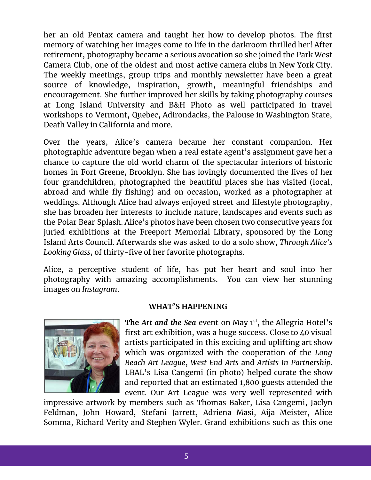her an old Pentax camera and taught her how to develop photos. The first memory of watching her images come to life in the darkroom thrilled her! After retirement, photography became a serious avocation so she joined the Park West Camera Club, one of the oldest and most active camera clubs in New York City. The weekly meetings, group trips and monthly newsletter have been a great source of knowledge, inspiration, growth, meaningful friendships and encouragement. She further improved her skills by taking photography courses at Long Island University and B&H Photo as well participated in travel workshops to Vermont, Quebec, Adirondacks, the Palouse in Washington State, Death Valley in California and more.

Over the years, Alice's camera became her constant companion. Her photographic adventure began when a real estate agent's assignment gave her a chance to capture the old world charm of the spectacular interiors of historic homes in Fort Greene, Brooklyn. She has lovingly documented the lives of her four grandchildren, photographed the beautiful places she has visited (local, abroad and while fly fishing) and on occasion, worked as a photographer at weddings. Although Alice had always enjoyed street and lifestyle photography, she has broaden her interests to include nature, landscapes and events such as the Polar Bear Splash. Alice's photos have been chosen two consecutive years for juried exhibitions at the Freeport Memorial Library, sponsored by the Long Island Arts Council. Afterwards she was asked to do a solo show, *Through Alice's Looking Glass*, of thirty-five of her favorite photographs.

Alice, a perceptive student of life, has put her heart and soul into her photography with amazing accomplishments. You can view her stunning images on *Instagram*.



#### **WHAT'S HAPPENING**

The *Art and the Sea* event on May 1<sup>st</sup>, the Allegria Hotel's first art exhibition, was a huge success. Close to 40 visual artists participated in this exciting and uplifting art show which was organized with the cooperation of the *Long Beach Art League*, *West End Arts* and *Artists In Partnership*. LBAL's Lisa Cangemi (in photo) helped curate the show and reported that an estimated 1,800 guests attended the event. Our Art League was very well represented with

impressive artwork by members such as Thomas Baker, Lisa Cangemi, Jaclyn Feldman, John Howard, Stefani Jarrett, Adriena Masi, Aija Meister, Alice Somma, Richard Verity and Stephen Wyler. Grand exhibitions such as this one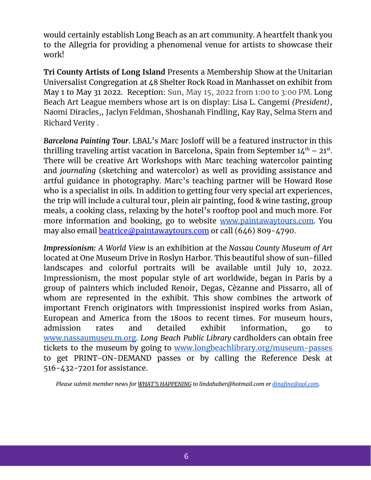would certainly establish Long Beach as an art community. A heartfelt thank you to the Allegria for providing a phenomenal venue for artists to showcase their work!

**Tri County Artists of Long Island** Presents a Membership Show at the Unitarian Universalist Congregation at 48 Shelter Rock Road in Manhasset on exhibit from May 1 to May 31 2022. Reception: Sun, May 15, 2022 from 1:00 to 3:00 PM. Long Beach Art League members whose art is on display: Lisa L. Cangemi *(President)*, Naomi Diracles,, Jaclyn Feldman, Shoshanah Findling, Kay Ray, Selma Stern and Richard Verity .

*Barcelona Painting Tour*. LBAL's Marc Josloff will be a featured instructor in this thrilling traveling artist vacation in Barcelona, Spain from September  $14^{th}$  –  $21^{st}$ . There will be creative Art Workshops with Marc teaching watercolor painting and *journaling* (sketching and watercolor) as well as providing assistance and artful guidance in photography. Marc's teaching partner will be Howard Rose who is a specialist in oils. In addition to getting four very special art experiences, the trip will include a cultural tour, plein air painting, food & wine tasting, group meals, a cooking class, relaxing by the hotel's rooftop pool and much more. For more information and booking, go to website [www.paintawaytours.com.](http://www.paintawaytours.com/) You may also email **beatrice**@paintawaytours.com or call (646) 809-4790.

*Impressionism: A World View* is an exhibition at the *Nassau County Museum of Art* located at One Museum Drive in Roslyn Harbor. This beautiful show of sun-filled landscapes and colorful portraits will be available until July 10, 2022. Impressionism, the most popular style of art worldwide, began in Paris by a group of painters which included Renoir, Degas, Cѐzanne and Pissarro, all of whom are represented in the exhibit. This show combines the artwork of important French originators with Impressionist inspired works from Asian, European and America from the 1800s to recent times. For museum hours, admission rates and detailed exhibit information, go t[o](http://www.nassaumuseum.org/) [www.nassaumuseu.m.org.](http://www.nassaumuseum.org/) *Long Beach Public Library* cardholders can obtain free tickets to the museum by going to [www.longbeachlibrary.org/museum-passes](http://www.longbeachlibrary.org/museum-passes) to get PRINT-ON-DEMAND passes or by calling the Reference Desk at 516-432-7201 for assistance.

*Please submit member news for WHAT'S HAPPENING to lindahaber@hotmail.com or [dinafine@aol.com](mailto:dinafine@aol.com).*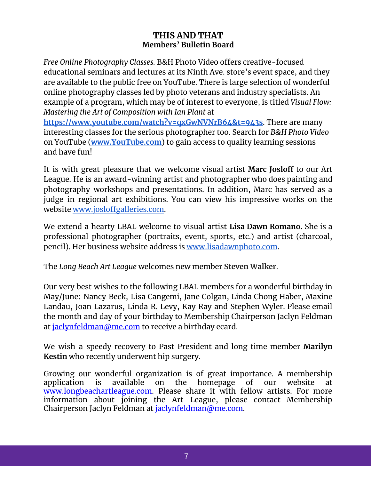#### **THIS AND THAT Members' Bulletin Board**

*Free Online Photography Classes.* B&H Photo Video offers creative-focused educational seminars and lectures at its Ninth Ave. store's event space, and they are available to the public free on YouTube. There is large selection of wonderful online photography classes led by photo veterans and industry specialists. An example of a program, which may be of interest to everyone, is titled *Visual Flow: Mastering the Art of Composition with Ian Plant* at **<https://www.youtube.com/watch?v=qxGwNVNrB64&t=943s>**. There are many interesting classes for the serious photographer too. Search for *B&H Photo Video* on YouTube (**[www.YouTube.com](http://www.youtube.com/)**) to gain access to quality learning sessions and have fun!

It is with great pleasure that we welcome visual artist **Marc Josloff** to our Art League. He is an award-winning artist and photographer who does painting and photography workshops and presentations. In addition, Marc has served as a judge in regional art exhibitions. You can view his impressive works on the website [www.josloffgalleries.com.](http://www.josloffgalleries.com)

We extend a hearty LBAL welcome to visual artist **Lisa Dawn Romano.** She is a professional photographer (portraits, event, sports, etc.) and artist (charcoal, pencil). Her business website address is [www.lisadawnphoto.com](http://www.lisadawnphoto.com/).

The *Long Beach Art League* welcomes new member **Steven Walker**.

Our very best wishes to the following LBAL members for a wonderful birthday in May/June: Nancy Beck, Lisa Cangemi, Jane Colgan, Linda Chong Haber, Maxine Landau, Joan Lazarus, Linda R. Levy, Kay Ray and Stephen Wyler. Please email the month and day of your birthday to Membership Chairperson Jaclyn Feldman at jaclynfeldman@me.com to receive a birthday ecard.

We wish a speedy recovery to Past President and long time member **Marilyn Kestin** who recently underwent hip surgery.

Growing our wonderful organization is of great importance. A membership application is available on the homepage of our website at is available on the homepage of our website at [www.longbeachartleague.com.](http://www.longbeachartleague.com/) Please share it with fellow artists. For more information about joining the Art League, please contact Membership Chairperson Jaclyn Feldman at jaclynfeldman@me.com.